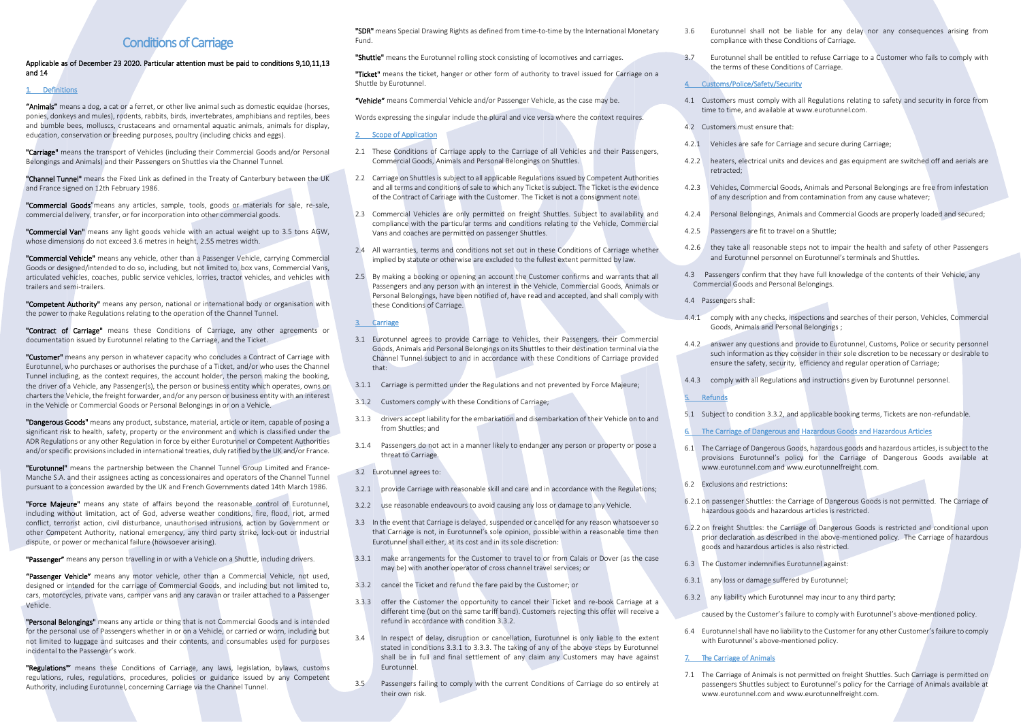# Conditions of Carriage

# Applicable as of December 23 2020. Particular attention must be paid to conditions 9,10,11,13 and 14

# 1. Definitions

"Animals" means a dog, a cat or a ferret, or other live animal such as domestic equidae (horses, ponies, donkeys and mules), rodents, rabbits, birds, invertebrates, amphibians and reptiles, bees and bumble bees, molluscs, crustaceans and ornamental aquatic animals, animals for display, education, conservation or breeding purposes, poultry (including chicks and eggs).

"Carriage" means the transport of Vehicles (including their Commercial Goods and/or Personal Belongings and Animals) and their Passengers on Shuttles via the Channel Tunnel.

"Channel Tunnel" means the Fixed Link as defined in the Treaty of Canterbury between the UK and France signed on 12th February 1986.

"Commercial Goods"means any articles, sample, tools, goods or materials for sale, re-sale, commercial delivery, transfer, or for incorporation into other commercial goods.

"Commercial Van" means any light goods vehicle with an actual weight up to 3.5 tons AGW, whose dimensions do not exceed 3.6 metres in height, 2.55 metres width.

"Commercial Vehicle" means any vehicle, other than a Passenger Vehicle, carrying Commercial Goods or designed/intended to do so, including, but not limited to, box vans, Commercial Vans, articulated vehicles, coaches, public service vehicles, lorries, tractor vehicles, and vehicles with trailers and semi-trailers.

"Competent Authority" means any person, national or international body or organisation with the power to make Regulations relating to the operation of the Channel Tunnel.

"Contract of Carriage" means these Conditions of Carriage, any other agreements or documentation issued by Eurotunnel relating to the Carriage, and the Ticket.

"Customer" means any person in whatever capacity who concludes a Contract of Carriage with Eurotunnel, who purchases or authorises the purchase of a Ticket, and/or who uses the Channel Tunnel including, as the context requires, the account holder, the person making the booking, the driver of a Vehicle, any Passenger(s), the person or business entity which operates, owns or charters the Vehicle, the freight forwarder, and/or any person or business entity with an interest in the Vehicle or Commercial Goods or Personal Belongings in or on a Vehicle.

"Dangerous Goods" means any product, substance, material, article or item, capable of posing a significant risk to health, safety, property or the environment and which is classified under the ADR Regulations or any other Regulation in force by either Eurotunnel or Competent Authorities and/or specific provisions included in international treaties, duly ratified by the UK and/or France.

"Eurotunnel" means the partnership between the Channel Tunnel Group Limited and France-Manche S.A. and their assignees acting as concessionaires and operators of the Channel Tunnel pursuant to a concession awarded by the UK and French Governments dated 14th March 1986.

"Force Maieure" means any state of affairs beyond the reasonable control of Eurotunnel. including without limitation, act of God, adverse weather conditions, fire, flood, riot, armed conflict, terrorist action, civil disturbance, unauthorised intrusions, action by Government or other Competent Authority, national emergency, any third party strike, lock-out or industrial dispute, or power or mechanical failure (howsoever arising).

"Passenger" means any person travelling in or with a Vehicle on a Shuttle, including drivers.

"Passenger Vehicle" means any motor vehicle, other than a Commercial Vehicle, not used, designed or intended for the carriage of Commercial Goods, and including but not limited to, cars, motorcycles, private vans, camper vans and any caravan or trailer attached to a Passenger Vehicle.

"Personal Belongings" means any article or thing that is not Commercial Goods and is intended for the personal use of Passengers whether in or on a Vehicle, or carried or worn, including but not limited to luggage and suitcases and their contents, and consumables used for purposes incidental to the Passenger's work.

"Regulations"' means these Conditions of Carriage, any laws, legislation, bylaws, customs regulations, rules, regulations, procedures, policies or guidance issued by any Competent Authority, including Eurotunnel, concerning Carriage via the Channel Tunnel.

"SDR" means Special Drawing Rights as defined from time-to-time by the International Monetary Fund.

"Shuttle" means the Eurotunnel rolling stock consisting of locomotives and carriages.

"Ticket" means the ticket, hanger or other form of authority to travel issued for Carriage on a Shuttle by Eurotunnel.

"Vehicle" means Commercial Vehicle and/or Passenger Vehicle, as the case may be.

Words expressing the singular include the plural and vice versa where the context requires.

2. Scope of Application

- 2.1 These Conditions of Carriage apply to the Carriage of all Vehicles and their Passengers, Commercial Goods, Animals and Personal Belongings on Shuttles.
- 2.2 Carriage on Shuttles is subject to all applicable Regulations issued by Competent Authorities and all terms and conditions of sale to which any Ticket is subject. The Ticket is the evidence of the Contract of Carriage with the Customer. The Ticket is not a consignment note.
- 2.3 Commercial Vehicles are only permitted on freight Shuttles. Subject to availability and compliance with the particular terms and conditions relating to the Vehicle, Commercial Vans and coaches are permitted on passenger Shuttles.
- 2.4 All warranties, terms and conditions not set out in these Conditions of Carriage whether implied by statute or otherwise are excluded to the fullest extent permitted by law.
- 2.5 By making a booking or opening an account the Customer confirms and warrants that all Passengers and any person with an interest in the Vehicle, Commercial Goods, Animals or Personal Belongings, have been notified of, have read and accepted, and shall comply with these Conditions of Carriage.

# 3. Carriage

- 3.1 Eurotunnel agrees to provide Carriage to Vehicles, their Passengers, their Commercial Goods, Animals and Personal Belongings on its Shuttles to their destination terminal via the Channel Tunnel subject to and in accordance with these Conditions of Carriage provided that:
- 3.1.1 Carriage is permitted under the Regulations and not prevented by Force Majeure;
- 3.1.2 Customers comply with these Conditions of Carriage;
- 3.1.3 drivers accept liability for the embarkation and disembarkation of their Vehicle on to and from Shuttles; and
- 3.1.4 Passengers do not act in a manner likely to endanger any person or property or pose a threat to Carriage.
- 3.2 Eurotunnel agrees to:
- 3.2.1 provide Carriage with reasonable skill and care and in accordance with the Regulations;
- 3.2.2 use reasonable endeavours to avoid causing any loss or damage to any Vehicle.
- 3.3 In the event that Carriage is delayed, suspended or cancelled for any reason whatsoever so that Carriage is not, in Eurotunnel's sole opinion, possible within a reasonable time then Eurotunnel shall either, at its cost and in its sole discretion:
- 3.3.1 make arrangements for the Customer to travel to or from Calais or Dover (as the case may be) with another operator of cross channel travel services; or
- 3.3.2 cancel the Ticket and refund the fare paid by the Customer; or
- 3.3.3 offer the Customer the opportunity to cancel their Ticket and re-book Carriage at a different time (but on the same tariff band). Customers rejecting this offer will receive a refund in accordance with condition 3.3.2.
- 3.4 In respect of delay, disruption or cancellation, Eurotunnel is only liable to the extent stated in conditions 3.3.1 to 3.3.3. The taking of any of the above steps by Eurotunnel shall be in full and final settlement of any claim any Customers may have against Eurotunnel.
- 3.5 Passengers failing to comply with the current Conditions of Carriage do so entirely at their own risk.
- 3.6 Eurotunnel shall not be liable for any delay nor any consequences arising from compliance with these Conditions of Carriage.
- 3.7 Eurotunnel shall be entitled to refuse Carriage to a Customer who fails to comply with the terms of these Conditions of Carriage.

#### 4. Customs/Police/Safety/Security

- 4.1 Customers must comply with all Regulations relating to safety and security in force from time to time, and available a[t www.eurotunnel.com.](http://www.eurotunnel.com/)
- 4.2 Customers must ensure that:
- 4.2.1 Vehicles are safe for Carriage and secure during Carriage;
- 4.2.2 heaters, electrical units and devices and gas equipment are switched off and aerials are retracted;
- 4.2.3 Vehicles, Commercial Goods, Animals and Personal Belongings are free from infestation of any description and from contamination from any cause whatever;
- 4.2.4 Personal Belongings, Animals and Commercial Goods are properly loaded and secured;
- 4.2.5 Passengers are fit to travel on a Shuttle;
- 4.2.6 they take all reasonable steps not to impair the health and safety of other Passengers and Eurotunnel personnel on Eurotunnel's terminals and Shuttles.
- 4.3 Passengers confirm that they have full knowledge of the contents of their Vehicle, any Commercial Goods and Personal Belongings.
- 4.4 Passengers shall:
- 4.4.1 comply with any checks, inspections and searches of their person, Vehicles, Commercial Goods, Animals and Personal Belongings ;
- 4.4.2 answer any questions and provide to Eurotunnel, Customs, Police or security personnel such information as they consider in their sole discretion to be necessary or desirable to ensure the safety, security, efficiency and regular operation of Carriage;
- 4.4.3 comply with all Regulations and instructions given by Eurotunnel personnel.

5. Refunds

5.1 Subject to condition 3.3.2, and applicable booking terms, Tickets are non-refundable.

6. The Carriage of Dangerous and Hazardous Goods and Hazardous Articles

- 6.1 The Carriage of Dangerous Goods, hazardous goods and hazardous articles, issubject to the provisions Eurotunnel's policy for the Carriage of Dangerous Goods available at [www.eurotunnel.com](http://www.eurotunnel.com/) and www.eurotunnelfreight.com.
- 6.2 Exclusions and restrictions:
- 6.2.1 on passenger Shuttles: the Carriage of Dangerous Goods is not permitted. The Carriage of hazardous goods and hazardous articles is restricted.
- 6.2.2 on freight Shuttles: the Carriage of Dangerous Goods is restricted and conditional upon prior declaration as described in the above-mentioned policy. The Carriage of hazardous goods and hazardous articles is also restricted.
- 6.3 The Customer indemnifies Eurotunnel against:
- 6.3.1 any loss or damage suffered by Eurotunnel;
- 6.3.2 any liability which Eurotunnel may incur to any third party;
- caused by the Customer's failure to comply with Eurotunnel's above-mentioned policy.
- 6.4 Eurotunnel shall have no liability to the Customer for any other Customer'sfailure to comply with Eurotunnel's above-mentioned policy.

# 7. The Carriage of Animals

7.1 The Carriage of Animals is not permitted on freight Shuttles. Such Carriage is permitted on passengers Shuttles subject to Eurotunnel's policy for the Carriage of Animals available at [www.eurotunnel.com](http://www.eurotunnel.com/) and www.eurotunnelfreight.com.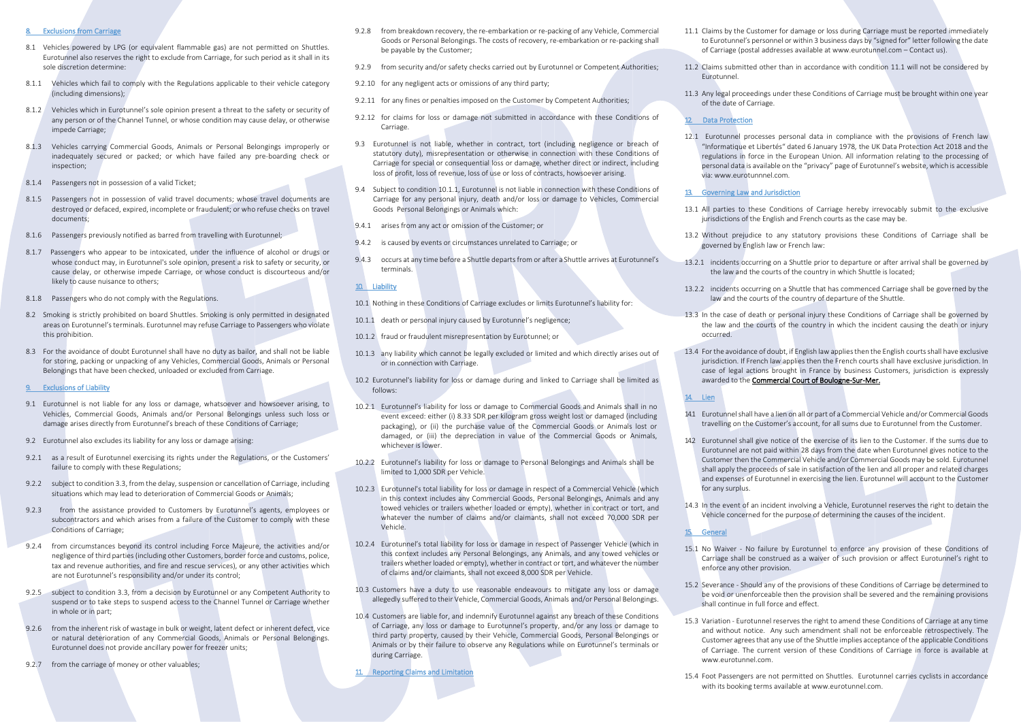#### **Exclusions from Carriage**

- 8.1 Vehicles powered by LPG (or equivalent flammable gas) are not permitted on Shuttles. Eurotunnel also reserves the right to exclude from Carriage, for such period as it shall in its sole discretion determine:
- 8.1.1 Vehicles which fail to comply with the Regulations applicable to their vehicle category (including dimensions);
- 8.1.2 Vehicles which in Eurotunnel's sole opinion present a threat to the safety or security of any person or of the Channel Tunnel, or whose condition may cause delay, or otherwise impede Carriage;
- 8.1.3 Vehicles carrying Commercial Goods, Animals or Personal Belongings improperly or inadequately secured or packed; or which have failed any pre-boarding check or inspection;
- 8.1.4 Passengers not in possession of a valid Ticket;
- 8.1.5 Passengers not in possession of valid travel documents; whose travel documents are destroyed or defaced, expired, incomplete or fraudulent; or who refuse checks on travel documents;
- 8.1.6 Passengers previously notified as barred from travelling with Eurotunnel;
- 8.1.7 Passengers who appear to be intoxicated, under the influence of alcohol or drugs or whose conduct may, in Eurotunnel's sole opinion, present a risk to safety or security, or cause delay, or otherwise impede Carriage, or whose conduct is discourteous and/or likely to cause nuisance to others;
- 8.1.8 Passengers who do not comply with the Regulations.
- 8.2 Smoking is strictly prohibited on board Shuttles. Smoking is only permitted in designated areas on Eurotunnel's terminals. Eurotunnel may refuse Carriage to Passengers who violate this prohibition.
- 8.3 For the avoidance of doubt Eurotunnel shall have no duty as bailor, and shall not be liable for storing, packing or unpacking of any Vehicles, Commercial Goods, Animals or Personal Belongings that have been checked, unloaded or excluded from Carriage.

#### 9. Exclusions of Liability

- 9.1 Eurotunnel is not liable for any loss or damage, whatsoever and howsoever arising, to Vehicles, Commercial Goods, Animals and/or Personal Belongings unless such loss or damage arises directly from Eurotunnel's breach of these Conditions of Carriage;
- 9.2 Eurotunnel also excludes its liability for any loss or damage arising:
- 9.2.1 as a result of Eurotunnel exercising its rights under the Regulations, or the Customers' failure to comply with these Regulations;
- 9.2.2 subject to condition 3.3, from the delay, suspension or cancellation of Carriage, including situations which may lead to deterioration of Commercial Goods or Animals;
- 9.2.3 from the assistance provided to Customers by Eurotunnel's agents, employees or subcontractors and which arises from a failure of the Customer to comply with these Conditions of Carriage;
- 9.2.4 from circumstances beyond its control including Force Majeure, the activities and/or negligence of third parties (including other Customers, border force and customs, police, tax and revenue authorities, and fire and rescue services), or any other activities which are not Eurotunnel's responsibility and/or under its control;
- 9.2.5 subject to condition 3.3, from a decision by Eurotunnel or any Competent Authority to suspend or to take steps to suspend access to the Channel Tunnel or Carriage whether in whole or in part;
- 9.2.6 from the inherent risk of wastage in bulk or weight, latent defect or inherent defect, vice or natural deterioration of any Commercial Goods, Animals or Personal Belongings. Eurotunnel does not provide ancillary power for freezer units;
- 9.2.7 from the carriage of money or other valuables;
- 9.2.8 from breakdown recovery, the re-embarkation or re-packing of any Vehicle, Commercial Goods or Personal Belongings. The costs of recovery, re-embarkation or re-packing shall be payable by the Customer;
- 9.2.9 from security and/or safety checks carried out by Eurotunnel or Competent Authorities;
- 9.2.10 for any negligent acts or omissions of any third party;
- 9.2.11 for any fines or penalties imposed on the Customer by Competent Authorities;
- 9.2.12 for claims for loss or damage not submitted in accordance with these Conditions of Carriage.
- 9.3 Eurotunnel is not liable, whether in contract, tort (including negligence or breach of statutory duty), misrepresentation or otherwise in connection with these Conditions of Carriage for special or consequential loss or damage, whether direct or indirect, including loss of profit, loss of revenue, loss of use or loss of contracts, howsoever arising.
- 9.4 Subject to condition 10.1.1, Eurotunnel is not liable in connection with these Conditions of Carriage for any personal injury, death and/or loss or damage to Vehicles, Commercial Goods Personal Belongings or Animals which:
- 9.4.1 arises from any act or omission of the Customer; or
- 9.4.2 is caused by events or circumstances unrelated to Carriage; or
- 9.4.3 occurs at any time before a Shuttle departs from or after a Shuttle arrives at Eurotunnel's terminals.

# 10. Liability

- 10.1 Nothing in these Conditions of Carriage excludes or limits Eurotunnel's liability for:
- 10.1.1 death or personal injury caused by Eurotunnel's negligence;
- 10.1.2 fraud or fraudulent misrepresentation by Eurotunnel; or
- 10.1.3 any liability which cannot be legally excluded or limited and which directly arises out of or in connection with Carriage.
- 10.2 Eurotunnel's liability for loss or damage during and linked to Carriage shall be limited as follows:
- 10.2.1 Eurotunnel's liability for loss or damage to Commercial Goods and Animals shall in no event exceed: either (i) 8.33 SDR per kilogram gross weight lost or damaged (including packaging), or (ii) the purchase value of the Commercial Goods or Animals lost or damaged, or (iii) the depreciation in value of the Commercial Goods or Animals, whichever is lower.
- 10.2.2 Eurotunnel's liability for loss or damage to Personal Belongings and Animals shall be limited to 1,000 SDR per Vehicle.
- 10.2.3 Eurotunnel's total liability for loss or damage in respect of a Commercial Vehicle (which in this context includes any Commercial Goods, Personal Belongings, Animals and any towed vehicles or trailers whether loaded or empty), whether in contract or tort, and whatever the number of claims and/or claimants, shall not exceed 70,000 SDR per Vehicle.
- 10.2.4 Eurotunnel's total liability for loss or damage in respect of Passenger Vehicle (which in this context includes any Personal Belongings, any Animals, and any towed vehicles or trailers whether loaded or empty), whether in contract or tort, and whateverthe number of claims and/or claimants, shall not exceed 8,000 SDR per Vehicle.
- 10.3 Customers have a duty to use reasonable endeavours to mitigate any loss or damage allegedly suffered to their Vehicle, Commercial Goods, Animals and/or Personal Belongings.
- 10.4 Customers are liable for, and indemnify Eurotunnel against any breach of these Conditions of Carriage, any loss or damage to Eurotunnel's property, and/or any loss or damage to third party property, caused by their Vehicle, Commercial Goods, Personal Belongings or Animals or by their failure to observe any Regulations while on Eurotunnel's terminals or during Carriage.

11. Reporting Claims and Limitation

- 11.1 Claims by the Customer for damage or loss during Carriage must be reported immediately to Eurotunnel's personnel or within 3 business days by "signed for" letter following the date of Carriage (postal addresses available a[t www.eurotunnel.com](http://www.eurotunnel.com/) – Contact us).
- 11.2 Claims submitted other than in accordance with condition 11.1 will not be considered by Eurotunnel.
- 11.3 Any legal proceedings under these Conditions of Carriage must be brought within one year of the date of Carriage.

# 12. Data Protection

12.1 Eurotunnel processes personal data in compliance with the provisions of French law "Informatique et Libertés" dated 6 January 1978*,* the UK Data Protection Act 2018 and the regulations in force in the European Union. All information relating to the processing of personal data is available on the "privacy" page of Eurotunnel's website, which is accessible via: www.eurotunnnel.com.

# 13. Governing Law and Jurisdiction

- 13.1 All parties to these Conditions of Carriage hereby irrevocably submit to the exclusive jurisdictions of the English and French courts as the case may be.
- 13.2 Without prejudice to any statutory provisions these Conditions of Carriage shall be governed by English law or French law:
- 13.2.1 incidents occurring on a Shuttle prior to departure or after arrival shall be governed by the law and the courts of the country in which Shuttle is located;
- 13.2.2 incidents occurring on a Shuttle that has commenced Carriage shall be governed by the law and the courts of the country of departure of the Shuttle.
- 13.3 In the case of death or personal injury these Conditions of Carriage shall be governed by the law and the courts of the country in which the incident causing the death or injury occurred.
- 13.4 For the avoidance of doubt, if English law applies then the English courts shall have exclusive jurisdiction. If French law applies then the French courts shall have exclusive jurisdiction. In case of legal actions brought in France by business Customers, jurisdiction is expressly awarded to the Commercial Court of Boulogne-Sur-Mer.

## 14. Lien

- 14.1 Eurotunnel shall have a lien on all or part of a Commercial Vehicle and/or Commercial Goods travelling on the Customer's account, for all sums due to Eurotunnel from the Customer.
- 14.2 Eurotunnel shall give notice of the exercise of its lien to the Customer. If the sums due to Eurotunnel are not paid within 28 days from the date when Eurotunnel gives notice to the Customer then the Commercial Vehicle and/or Commercial Goods may be sold. Eurotunnel shall apply the proceeds of sale in satisfaction of the lien and all proper and related charges and expenses of Eurotunnel in exercising the lien. Eurotunnel will account to the Customer for any surplus.
- 14.3 In the event of an incident involving a Vehicle, Eurotunnel reserves the right to detain the Vehicle concerned for the purpose of determining the causes of the incident.

#### 15. General

- 15.1 No Waiver No failure by Eurotunnel to enforce any provision of these Conditions of Carriage shall be construed as a waiver of such provision or affect Eurotunnel's right to enforce any other provision.
- 15.2 Severance Should any of the provisions of these Conditions of Carriage be determined to be void or unenforceable then the provision shall be severed and the remaining provisions shall continue in full force and effect.
- 15.3 Variation Eurotunnel reserves the right to amend these Conditions of Carriage at any time and without notice. Any such amendment shall not be enforceable retrospectively. The Customer agrees that any use of the Shuttle implies acceptance of the applicable Conditions of Carriage. The current version of these Conditions of Carriage in force is available at www.eurotunnel.com.
- 15.4 Foot Passengers are not permitted on Shuttles. Eurotunnel carries cyclists in accordance with its booking terms available a[t www.eurotunnel.com.](http://www.eurotunnel.com/)